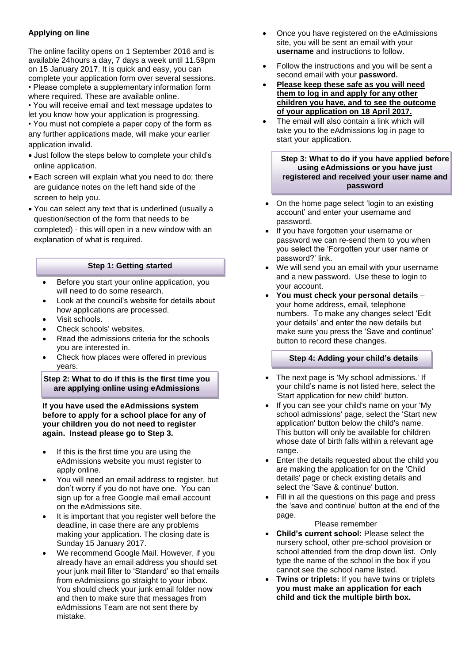# **Applying on line**

The online facility opens on 1 September 2016 and is available 24hours a day, 7 days a week until 11.59pm on 15 January 2017. It is quick and easy, you can complete your application form over several sessions. • Please complete a supplementary information form

where required. These are available online. • You will receive email and text message updates to

let you know how your application is progressing.

• You must not complete a paper copy of the form as any further applications made, will make your earlier application invalid.

- Just follow the steps below to complete your child's online application.
- Each screen will explain what you need to do; there are guidance notes on the left hand side of the screen to help you.
- You can select any text that is underlined (usually a question/section of the form that needs to be completed) - this will open in a new window with an explanation of what is required.

# **Step 1: Getting started**

- Before you start your online application, you will need to do some research.
- Look at the council's website for details about how applications are processed.
- Visit schools.
- Check schools' websites.
- Read the admissions criteria for the schools you are interested in.
- Check how places were offered in previous years.

**Step 2: What to do if this is the first time you are applying online using eAdmissions**

**If you have used the eAdmissions system before to apply for a school place for any of your children you do not need to register again. Instead please go to Step 3.**

- If this is the first time you are using the eAdmissions website you must register to apply online.
- You will need an email address to register, but don't worry if you do not have one. You can sign up for a free Google mail email account on the eAdmissions site.
- It is important that you register well before the deadline, in case there are any problems making your application. The closing date is Sunday 15 January 2017.
- We recommend Google Mail. However, if you already have an email address you should set your junk mail filter to 'Standard' so that emails from eAdmissions go straight to your inbox. You should check your junk email folder now and then to make sure that messages from eAdmissions Team are not sent there by mistake.
- Once you have registered on the eAdmissions site, you will be sent an email with your **username** and instructions to follow.
- Follow the instructions and you will be sent a second email with your **password.**
- **Please keep these safe as you will need them to log in and apply for any other children you have, and to see the outcome of your application on 18 April 2017.**
- The email will also contain a link which will take you to the eAdmissions log in page to start your application.

#### **Step 3: What to do if you have applied before using eAdmissions or you have just registered and received your user name and password**

- On the home page select 'login to an existing account' and enter your username and password.
- If you have forgotten your username or password we can re-send them to you when you select the 'Forgotten your user name or password?' link.
- We will send you an email with your username and a new password. Use these to login to your account.
- **You must check your personal details** your home address, email, telephone numbers. To make any changes select 'Edit your details' and enter the new details but make sure you press the 'Save and continue' button to record these changes.

# **Step 4: Adding your child's details**

- The next page is 'My school admissions.' If your child's name is not listed here, select the 'Start application for new child' button.
- If you can see your child's name on your 'My school admissions' page, select the 'Start new application' button below the child's name. This button will only be available for children whose date of birth falls within a relevant age range.
- Enter the details requested about the child you are making the application for on the 'Child' details' page or check existing details and select the 'Save & continue' button.
- Fill in all the questions on this page and press the 'save and continue' button at the end of the page.

Please remember

- **Child's current school:** Please select the nursery school, other pre-school provision or school attended from the drop down list. Only type the name of the school in the box if you cannot see the school name listed.
- **Twins or triplets:** If you have twins or triplets **you must make an application for each child and tick the multiple birth box.**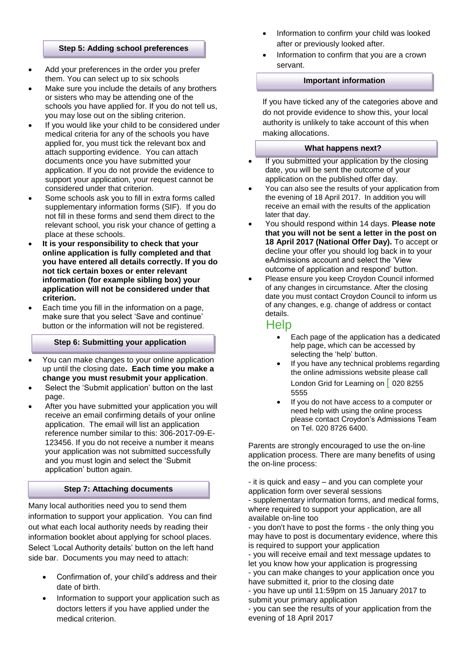#### **Step 5: Adding school preferences**

- Add your preferences in the order you prefer them. You can select up to six schools
- Make sure you include the details of any brothers or sisters who may be attending one of the schools you have applied for. If you do not tell us, you may lose out on the sibling criterion.
- If you would like your child to be considered under medical criteria for any of the schools you have applied for, you must tick the relevant box and attach supporting evidence. You can attach documents once you have submitted your application. If you do not provide the evidence to support your application, your request cannot be considered under that criterion.
- Some schools ask you to fill in extra forms called supplementary information forms (SIF). If you do not fill in these forms and send them direct to the relevant school, you risk your chance of getting a place at these schools.
- **It is your responsibility to check that your online application is fully completed and that you have entered all details correctly. If you do not tick certain boxes or enter relevant information (for example sibling box) your application will not be considered under that criterion.**
- Each time you fill in the information on a page, make sure that you select 'Save and continue' button or the information will not be registered.

# **Step 6: Submitting your application**

- You can make changes to your online application up until the closing date**. Each time you make a change you must resubmit your application**.
- Select the 'Submit application' button on the last page.
- After you have submitted your application you will receive an email confirming details of your online application. The email will list an application reference number similar to this: 306-2017-09-E-123456. If you do not receive a number it means your application was not submitted successfully and you must login and select the 'Submit application' button again.

# **Step 7: Attaching documents**

Many local authorities need you to send them information to support your application. You can find out what each local authority needs by reading their information booklet about applying for school places. Select 'Local Authority details' button on the left hand side bar. Documents you may need to attach:

- Confirmation of, your child's address and their date of birth.
- Information to support your application such as doctors letters if you have applied under the medical criterion.
- Information to confirm your child was looked after or previously looked after.
- Information to confirm that you are a crown servant.

#### **Important information**

If you have ticked any of the categories above and do not provide evidence to show this, your local authority is unlikely to take account of this when making allocations.

#### **What happens next?**

- If you submitted your application by the closing date, you will be sent the outcome of your application on the published offer day.
- You can also see the results of your application from the evening of 18 April 2017. In addition you will receive an email with the results of the application later that day.
- You should respond within 14 days. **Please note that you will not be sent a letter in the post on 18 April 2017 (National Offer Day).** To accept or decline your offer you should log back in to your eAdmissions account and select the 'View outcome of application and respond' button.
- Please ensure you keep Croydon Council informed of any changes in circumstance. After the closing date you must contact Croydon Council to inform us of any changes, e.g. change of address or contact details.

# Help

- Each page of the application has a dedicated help page, which can be accessed by selecting the 'help' button.
- If you have any technical problems regarding the online admissions website please call London Grid for Learning on | 020 8255 5555
- If you do not have access to a computer or need help with using the online process please contact Croydon's Admissions Team on Tel. 020 8726 6400.

Parents are strongly encouraged to use the on-line application process. There are many benefits of using the on-line process:

- it is quick and easy – and you can complete your application form over several sessions - supplementary information forms, and medical forms,

where required to support your application, are all available on-line too

- you don't have to post the forms - the only thing you may have to post is documentary evidence, where this is required to support your application

- you will receive email and text message updates to let you know how your application is progressing

- you can make changes to your application once you have submitted it, prior to the closing date

- you have up until 11:59pm on 15 January 2017 to submit your primary application

- you can see the results of your application from the evening of 18 April 2017